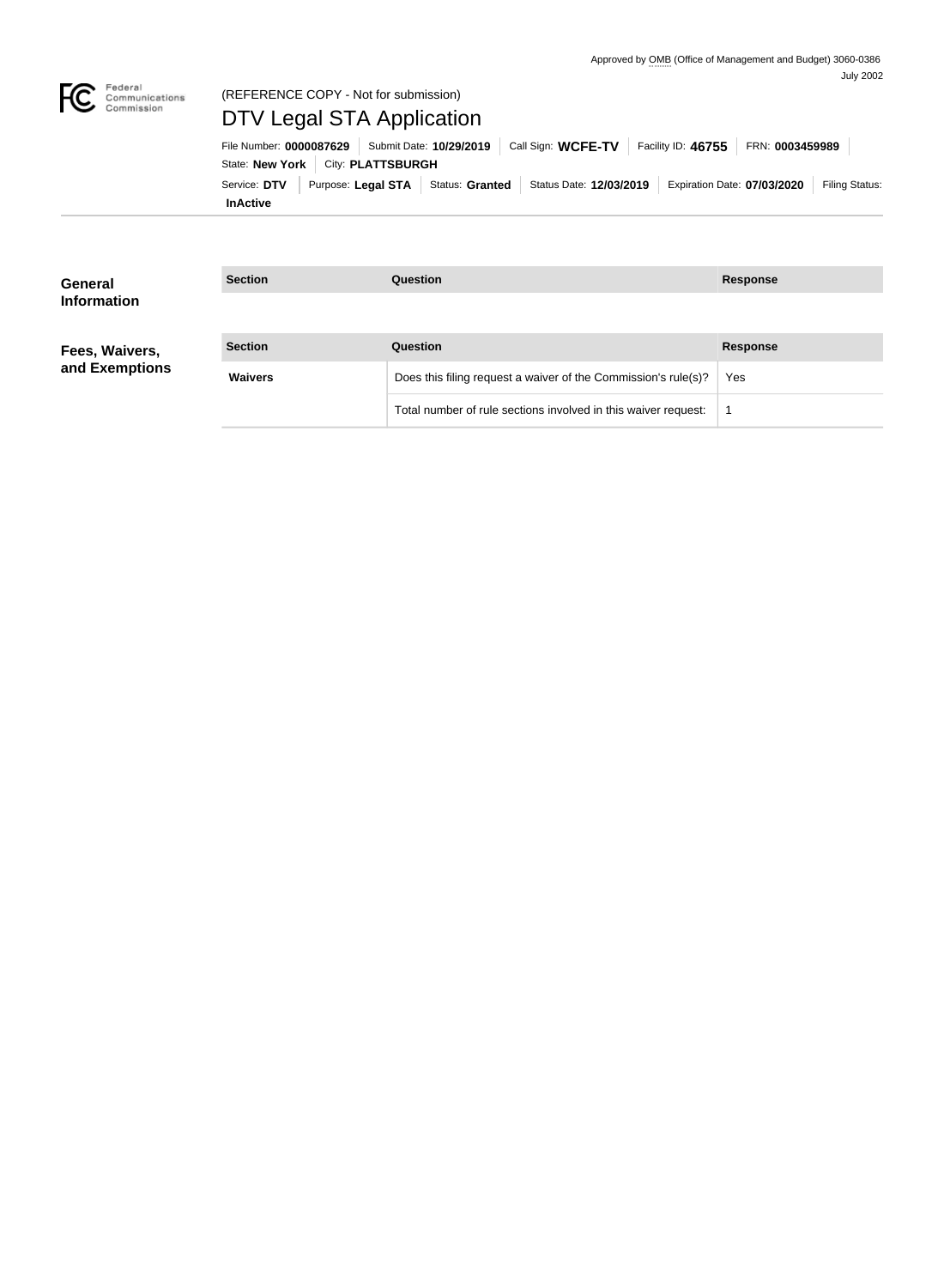

# (REFERENCE COPY - Not for submission) DTV Legal STA Application

**InActive** Service: DTV Purpose: Legal STA Status: Granted Status Date: 12/03/2019 Expiration Date: 07/03/2020 Filing Status: State: **New York City: PLATTSBURGH** File Number: **0000087629** Submit Date: **10/29/2019** Call Sign: **WCFE-TV** Facility ID: **46755** FRN: **0003459989**

| General<br><b>Information</b>    | <b>Section</b> | <b>Question</b>                                                | <b>Response</b> |
|----------------------------------|----------------|----------------------------------------------------------------|-----------------|
| Fees, Waivers,<br>and Exemptions | <b>Section</b> | <b>Question</b>                                                | <b>Response</b> |
|                                  | <b>Waivers</b> | Does this filing request a waiver of the Commission's rule(s)? | Yes             |
|                                  |                | Total number of rule sections involved in this waiver request: |                 |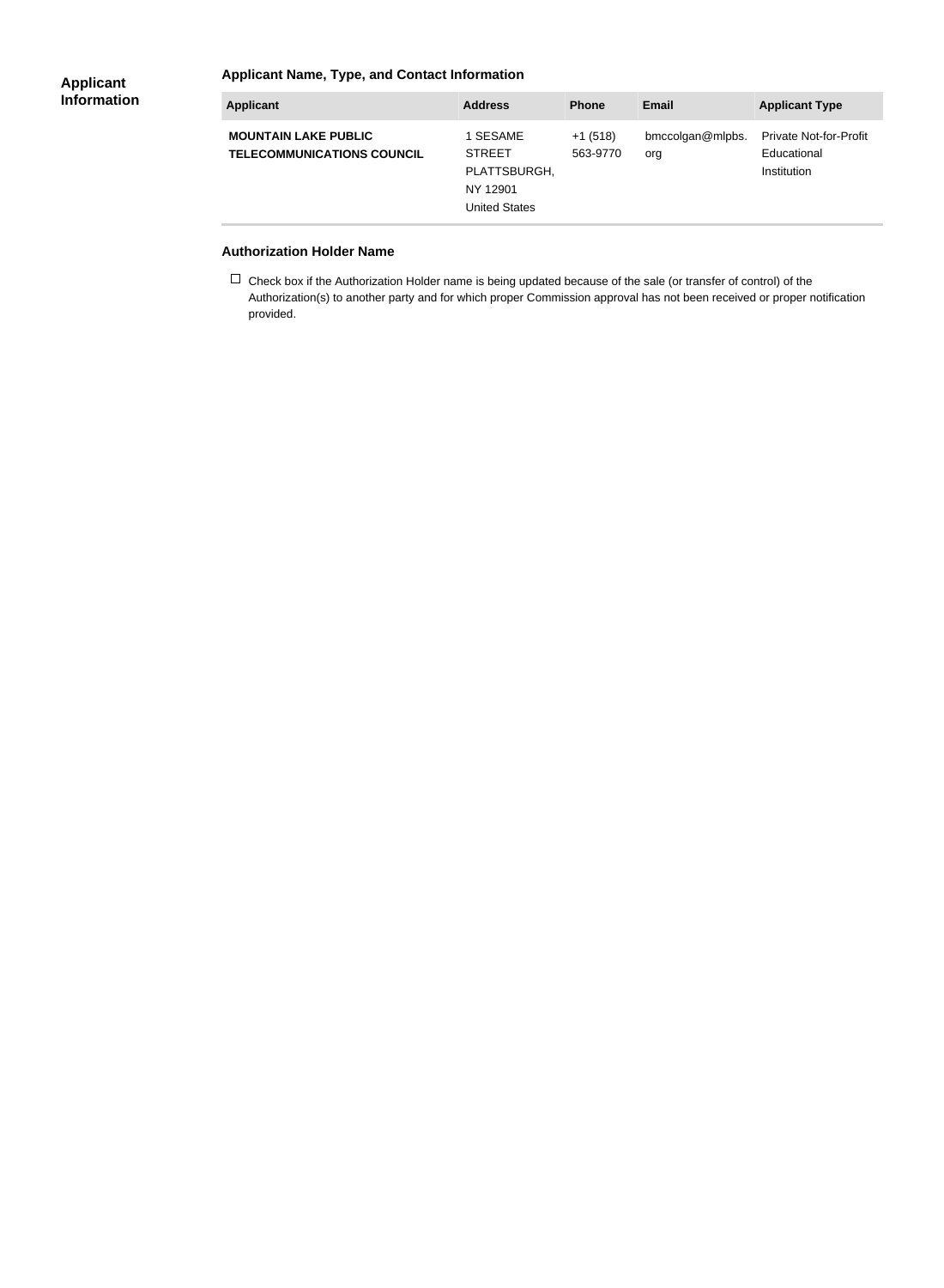#### **Applicant Information**

### **Applicant Name, Type, and Contact Information**

| <b>Applicant</b>                                                 | <b>Address</b>                                                                | <b>Phone</b>          | Email                   | <b>Applicant Type</b>                                       |
|------------------------------------------------------------------|-------------------------------------------------------------------------------|-----------------------|-------------------------|-------------------------------------------------------------|
| <b>MOUNTAIN LAKE PUBLIC</b><br><b>TELECOMMUNICATIONS COUNCIL</b> | 1 SESAME<br><b>STREET</b><br>PLATTSBURGH,<br>NY 12901<br><b>United States</b> | $+1(518)$<br>563-9770 | bmccolgan@mlpbs.<br>org | <b>Private Not-for-Profit</b><br>Educational<br>Institution |

#### **Authorization Holder Name**

 $\Box$  Check box if the Authorization Holder name is being updated because of the sale (or transfer of control) of the Authorization(s) to another party and for which proper Commission approval has not been received or proper notification provided.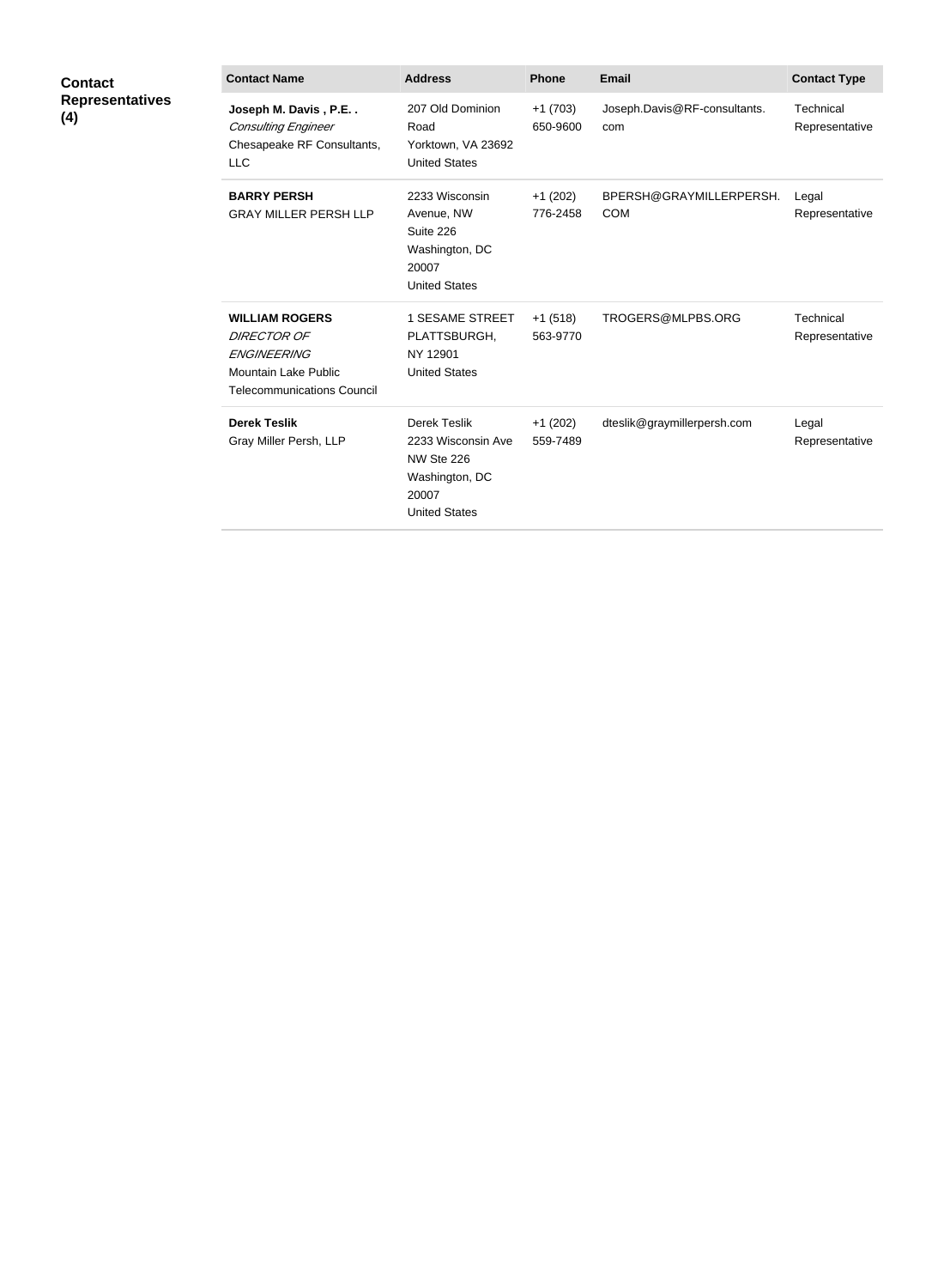| <b>Contact</b><br><b>Representatives</b><br>(4) | <b>Contact Name</b>                                                                                                            | <b>Address</b>                                                                                      | <b>Phone</b>          | <b>Email</b>                          | <b>Contact Type</b>         |
|-------------------------------------------------|--------------------------------------------------------------------------------------------------------------------------------|-----------------------------------------------------------------------------------------------------|-----------------------|---------------------------------------|-----------------------------|
|                                                 | Joseph M. Davis, P.E<br><b>Consulting Engineer</b><br>Chesapeake RF Consultants,<br><b>LLC</b>                                 | 207 Old Dominion<br>Road<br>Yorktown, VA 23692<br><b>United States</b>                              | $+1(703)$<br>650-9600 | Joseph.Davis@RF-consultants.<br>com   | Technical<br>Representative |
|                                                 | <b>BARRY PERSH</b><br><b>GRAY MILLER PERSH LLP</b>                                                                             | 2233 Wisconsin<br>Avenue, NW<br>Suite 226<br>Washington, DC<br>20007<br><b>United States</b>        | $+1(202)$<br>776-2458 | BPERSH@GRAYMILLERPERSH.<br><b>COM</b> | Legal<br>Representative     |
|                                                 | <b>WILLIAM ROGERS</b><br><b>DIRECTOR OF</b><br><b>ENGINEERING</b><br>Mountain Lake Public<br><b>Telecommunications Council</b> | <b>1 SESAME STREET</b><br>PLATTSBURGH,<br>NY 12901<br><b>United States</b>                          | $+1(518)$<br>563-9770 | TROGERS@MLPBS.ORG                     | Technical<br>Representative |
|                                                 | <b>Derek Teslik</b><br>Gray Miller Persh, LLP                                                                                  | Derek Teslik<br>2233 Wisconsin Ave<br>NW Ste 226<br>Washington, DC<br>20007<br><b>United States</b> | $+1(202)$<br>559-7489 | dteslik@graymillerpersh.com           | Legal<br>Representative     |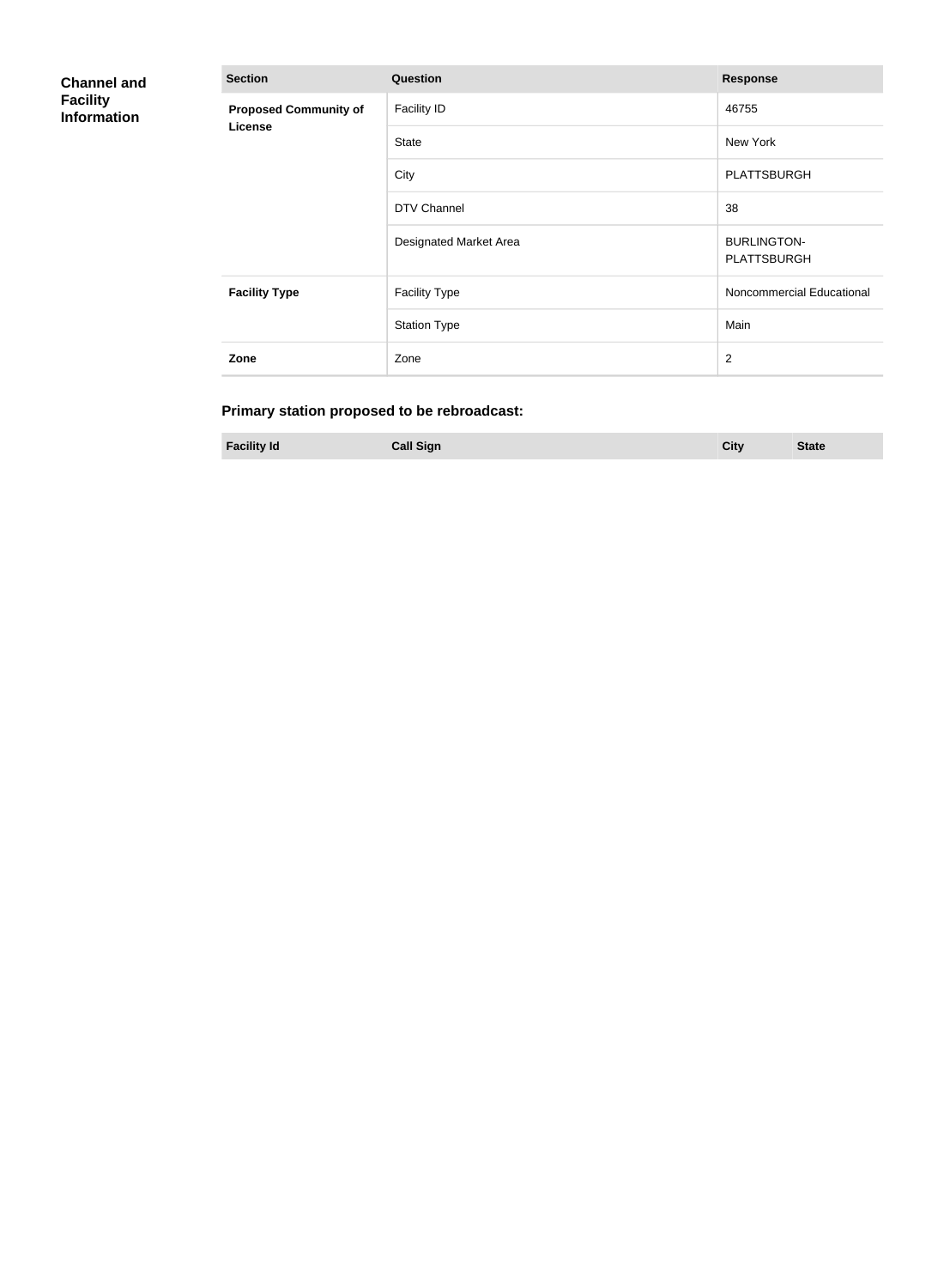| <b>Channel and</b><br><b>Facility</b><br><b>Information</b> | <b>Section</b>                          | <b>Question</b>        | <b>Response</b>                          |
|-------------------------------------------------------------|-----------------------------------------|------------------------|------------------------------------------|
|                                                             | <b>Proposed Community of</b><br>License | <b>Facility ID</b>     | 46755                                    |
|                                                             |                                         | <b>State</b>           | New York                                 |
|                                                             |                                         | City                   | <b>PLATTSBURGH</b>                       |
|                                                             |                                         | DTV Channel            | 38                                       |
|                                                             |                                         | Designated Market Area | <b>BURLINGTON-</b><br><b>PLATTSBURGH</b> |
|                                                             | <b>Facility Type</b>                    | <b>Facility Type</b>   | Noncommercial Educational                |
|                                                             |                                         | <b>Station Type</b>    | Main                                     |
|                                                             | Zone                                    | Zone                   | $\overline{2}$                           |

## **Primary station proposed to be rebroadcast:**

|  | <b>Facility Id</b> | <b>Call Sign</b> | City | <b>State</b> |
|--|--------------------|------------------|------|--------------|
|--|--------------------|------------------|------|--------------|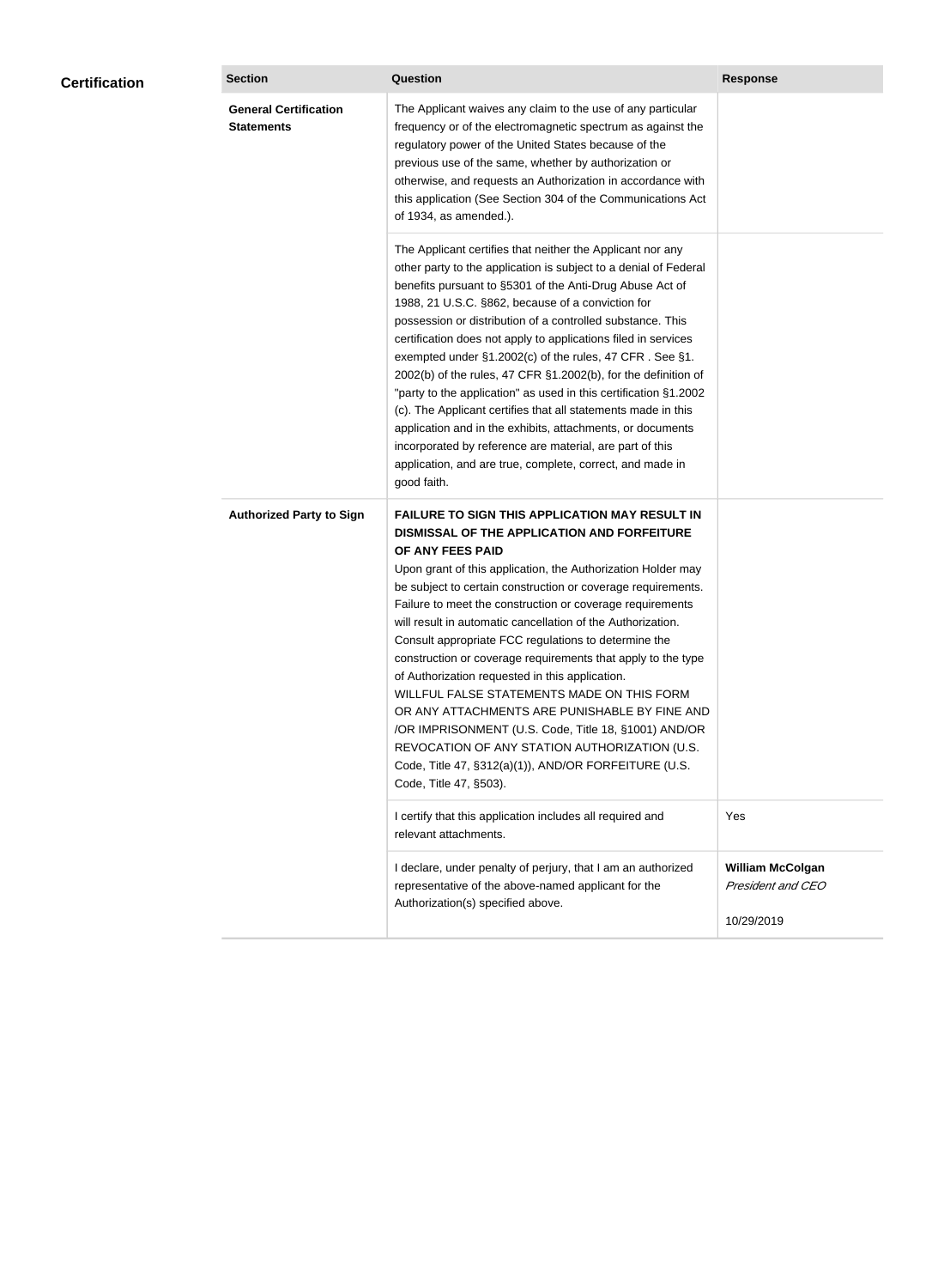| <b>Certification</b> | <b>Section</b>                                    | <b>Question</b>                                                                                                                                                                                                                                                                                                                                                                                                                                                                                                                                                                                                                                                                                                                                                                                                                                           | <b>Response</b>                                            |
|----------------------|---------------------------------------------------|-----------------------------------------------------------------------------------------------------------------------------------------------------------------------------------------------------------------------------------------------------------------------------------------------------------------------------------------------------------------------------------------------------------------------------------------------------------------------------------------------------------------------------------------------------------------------------------------------------------------------------------------------------------------------------------------------------------------------------------------------------------------------------------------------------------------------------------------------------------|------------------------------------------------------------|
|                      | <b>General Certification</b><br><b>Statements</b> | The Applicant waives any claim to the use of any particular<br>frequency or of the electromagnetic spectrum as against the<br>regulatory power of the United States because of the<br>previous use of the same, whether by authorization or<br>otherwise, and requests an Authorization in accordance with<br>this application (See Section 304 of the Communications Act<br>of 1934, as amended.).                                                                                                                                                                                                                                                                                                                                                                                                                                                       |                                                            |
|                      |                                                   | The Applicant certifies that neither the Applicant nor any<br>other party to the application is subject to a denial of Federal<br>benefits pursuant to §5301 of the Anti-Drug Abuse Act of<br>1988, 21 U.S.C. §862, because of a conviction for<br>possession or distribution of a controlled substance. This<br>certification does not apply to applications filed in services<br>exempted under §1.2002(c) of the rules, 47 CFR. See §1.<br>2002(b) of the rules, 47 CFR §1.2002(b), for the definition of<br>"party to the application" as used in this certification §1.2002<br>(c). The Applicant certifies that all statements made in this<br>application and in the exhibits, attachments, or documents<br>incorporated by reference are material, are part of this<br>application, and are true, complete, correct, and made in<br>good faith.   |                                                            |
|                      | <b>Authorized Party to Sign</b>                   | <b>FAILURE TO SIGN THIS APPLICATION MAY RESULT IN</b><br>DISMISSAL OF THE APPLICATION AND FORFEITURE<br>OF ANY FEES PAID<br>Upon grant of this application, the Authorization Holder may<br>be subject to certain construction or coverage requirements.<br>Failure to meet the construction or coverage requirements<br>will result in automatic cancellation of the Authorization.<br>Consult appropriate FCC regulations to determine the<br>construction or coverage requirements that apply to the type<br>of Authorization requested in this application.<br>WILLFUL FALSE STATEMENTS MADE ON THIS FORM<br>OR ANY ATTACHMENTS ARE PUNISHABLE BY FINE AND<br>/OR IMPRISONMENT (U.S. Code, Title 18, §1001) AND/OR<br>REVOCATION OF ANY STATION AUTHORIZATION (U.S.<br>Code, Title 47, §312(a)(1)), AND/OR FORFEITURE (U.S.<br>Code, Title 47, §503). |                                                            |
|                      |                                                   | I certify that this application includes all required and<br>relevant attachments.                                                                                                                                                                                                                                                                                                                                                                                                                                                                                                                                                                                                                                                                                                                                                                        | Yes                                                        |
|                      |                                                   | I declare, under penalty of perjury, that I am an authorized<br>representative of the above-named applicant for the<br>Authorization(s) specified above.                                                                                                                                                                                                                                                                                                                                                                                                                                                                                                                                                                                                                                                                                                  | <b>William McColgan</b><br>President and CEO<br>10/29/2019 |
|                      |                                                   |                                                                                                                                                                                                                                                                                                                                                                                                                                                                                                                                                                                                                                                                                                                                                                                                                                                           |                                                            |